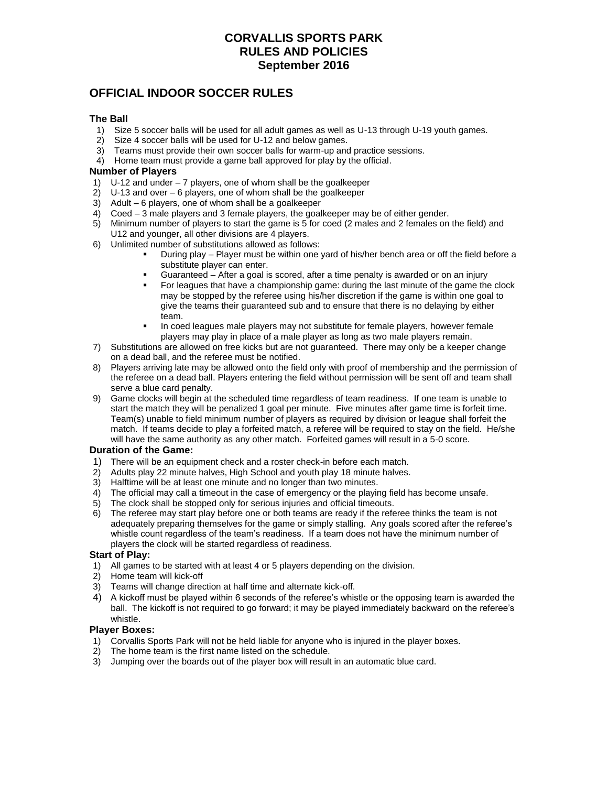# **CORVALLIS SPORTS PARK RULES AND POLICIES September 2016**

# **OFFICIAL INDOOR SOCCER RULES**

# **The Ball**

- 1) Size 5 soccer balls will be used for all adult games as well as U-13 through U-19 youth games.
- 2) Size 4 soccer balls will be used for U-12 and below games.
- 3) Teams must provide their own soccer balls for warm-up and practice sessions.
- 4) Home team must provide a game ball approved for play by the official.

# **Number of Players**

- 1) U-12 and under 7 players, one of whom shall be the goalkeeper
- 2) U-13 and over 6 players, one of whom shall be the goalkeeper
- 3) Adult 6 players, one of whom shall be a goalkeeper
- 4) Coed 3 male players and 3 female players, the goalkeeper may be of either gender.<br>5) Minimum number of players to start the game is 5 for coed (2 males and 2 females on
- 5) Minimum number of players to start the game is 5 for coed (2 males and 2 females on the field) and U12 and younger, all other divisions are 4 players.
- 6) Unlimited number of substitutions allowed as follows:
	- During play Player must be within one yard of his/her bench area or off the field before a substitute player can enter.
	- Guaranteed After a goal is scored, after a time penalty is awarded or on an injury
	- For leagues that have a championship game: during the last minute of the game the clock may be stopped by the referee using his/her discretion if the game is within one goal to give the teams their guaranteed sub and to ensure that there is no delaying by either team.
	- In coed leagues male players may not substitute for female players, however female players may play in place of a male player as long as two male players remain.
- 7) Substitutions are allowed on free kicks but are not guaranteed. There may only be a keeper change on a dead ball, and the referee must be notified.
- 8) Players arriving late may be allowed onto the field only with proof of membership and the permission of the referee on a dead ball. Players entering the field without permission will be sent off and team shall serve a blue card penalty.
- 9) Game clocks will begin at the scheduled time regardless of team readiness. If one team is unable to start the match they will be penalized 1 goal per minute. Five minutes after game time is forfeit time. Team(s) unable to field minimum number of players as required by division or league shall forfeit the match. If teams decide to play a forfeited match, a referee will be required to stay on the field. He/she will have the same authority as any other match. Forfeited games will result in a 5-0 score.

#### **Duration of the Game:**

- 
- 1) There will be an equipment check and a roster check-in before each match.<br>2) Adults play 22 minute halves, High School and youth play 18 minute halves. 2) Adults play 22 minute halves, High School and youth play 18 minute halves.
- 3) Halftime will be at least one minute and no longer than two minutes.
- 4) The official may call a timeout in the case of emergency or the playing field has become unsafe.
- 5) The clock shall be stopped only for serious injuries and official timeouts.
- 6) The referee may start play before one or both teams are ready if the referee thinks the team is not adequately preparing themselves for the game or simply stalling. Any goals scored after the referee's whistle count regardless of the team's readiness. If a team does not have the minimum number of players the clock will be started regardless of readiness.

#### **Start of Play:**

- 1) All games to be started with at least 4 or 5 players depending on the division.
- 2) Home team will kick-off
- 3) Teams will change direction at half time and alternate kick-off.
- 4) A kickoff must be played within 6 seconds of the referee's whistle or the opposing team is awarded the ball. The kickoff is not required to go forward; it may be played immediately backward on the referee's whistle.

#### **Player Boxes:**

- 1) Corvallis Sports Park will not be held liable for anyone who is injured in the player boxes.
- 2) The home team is the first name listed on the schedule.
- 3) Jumping over the boards out of the player box will result in an automatic blue card.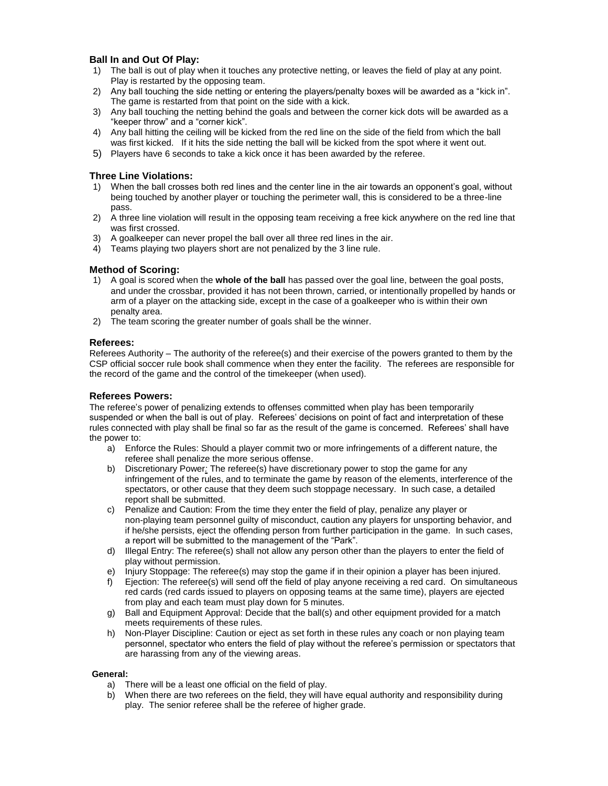# **Ball In and Out Of Play:**

- 1) The ball is out of play when it touches any protective netting, or leaves the field of play at any point. Play is restarted by the opposing team.
- 2) Any ball touching the side netting or entering the players/penalty boxes will be awarded as a "kick in". The game is restarted from that point on the side with a kick.
- 3) Any ball touching the netting behind the goals and between the corner kick dots will be awarded as a "keeper throw" and a "corner kick".
- 4) Any ball hitting the ceiling will be kicked from the red line on the side of the field from which the ball was first kicked. If it hits the side netting the ball will be kicked from the spot where it went out.
- 5) Players have 6 seconds to take a kick once it has been awarded by the referee.

# **Three Line Violations:**

- 1) When the ball crosses both red lines and the center line in the air towards an opponent's goal, without being touched by another player or touching the perimeter wall, this is considered to be a three-line pass.
- 2) A three line violation will result in the opposing team receiving a free kick anywhere on the red line that was first crossed.
- 3) A goalkeeper can never propel the ball over all three red lines in the air.
- 4) Teams playing two players short are not penalized by the 3 line rule.

# **Method of Scoring:**

- 1) A goal is scored when the **whole of the ball** has passed over the goal line, between the goal posts, and under the crossbar, provided it has not been thrown, carried, or intentionally propelled by hands or arm of a player on the attacking side, except in the case of a goalkeeper who is within their own penalty area.
- 2) The team scoring the greater number of goals shall be the winner.

# **Referees:**

Referees Authority – The authority of the referee(s) and their exercise of the powers granted to them by the CSP official soccer rule book shall commence when they enter the facility. The referees are responsible for the record of the game and the control of the timekeeper (when used).

### **Referees Powers:**

The referee's power of penalizing extends to offenses committed when play has been temporarily suspended or when the ball is out of play. Referees' decisions on point of fact and interpretation of these rules connected with play shall be final so far as the result of the game is concerned. Referees' shall have the power to:

- a) Enforce the Rules: Should a player commit two or more infringements of a different nature, the referee shall penalize the more serious offense.
- b) Discretionary Power*:* The referee(s) have discretionary power to stop the game for any infringement of the rules, and to terminate the game by reason of the elements, interference of the spectators, or other cause that they deem such stoppage necessary. In such case, a detailed report shall be submitted.
- c) Penalize and Caution: From the time they enter the field of play, penalize any player or non-playing team personnel guilty of misconduct, caution any players for unsporting behavior, and if he/she persists, eject the offending person from further participation in the game. In such cases, a report will be submitted to the management of the "Park".
- d) Illegal Entry: The referee(s) shall not allow any person other than the players to enter the field of play without permission.
- e) Injury Stoppage: The referee(s) may stop the game if in their opinion a player has been injured.
- f) Eiection: The referee(s) will send off the field of play anyone receiving a red card. On simultaneous red cards (red cards issued to players on opposing teams at the same time), players are ejected from play and each team must play down for 5 minutes.
- g) Ball and Equipment Approval: Decide that the ball(s) and other equipment provided for a match meets requirements of these rules.
- h) Non-Player Discipline: Caution or eject as set forth in these rules any coach or non playing team personnel, spectator who enters the field of play without the referee's permission or spectators that are harassing from any of the viewing areas.

#### **General:**

- a) There will be a least one official on the field of play.
- b) When there are two referees on the field, they will have equal authority and responsibility during play. The senior referee shall be the referee of higher grade.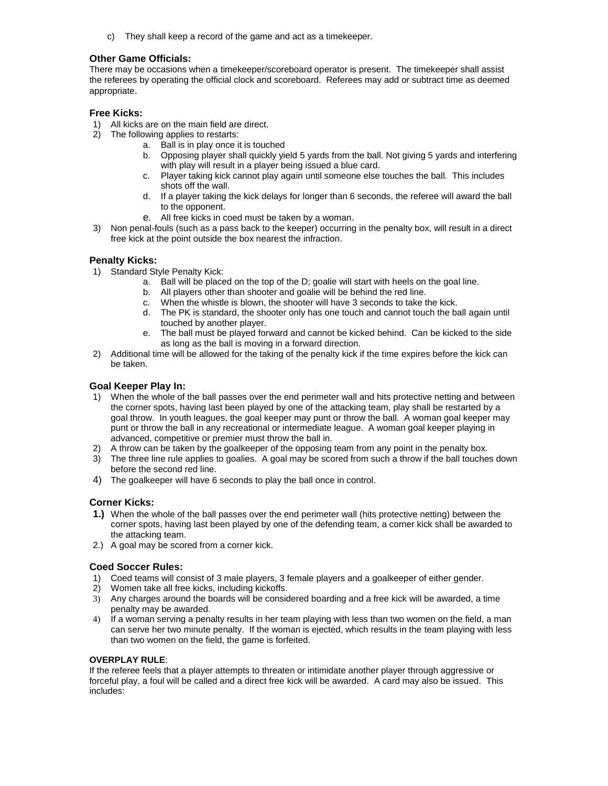c) They shall keep a record of the game and act as a timekeeper.

### **Other Game Officials:**

There may be occasions when a timekeeper/scoreboard operator is present. The timekeeper shall assist the referees by operating the official clock and scoreboard. Referees may add or subtract time as deemed appropriate.

### **Free Kicks:**

- 1) All kicks are on the main field are direct.
- 2) The following applies to restarts:
	- a. Ball is in play once it is touched
	- b. Opposing player shall quickly yield 5 yards from the ball. Not giving 5 yards and interfering with play will result in a player being issued a blue card.
	- c. Player taking kick cannot play again until someone else touches the ball. This includes shots off the wall.
	- d. If a player taking the kick delays for longer than 6 seconds, the referee will award the ball to the opponent.
	- e. All free kicks in coed must be taken by a woman.
- 3) Non penal-fouls (such as a pass back to the keeper) occurring in the penalty box, will result in a direct free kick at the point outside the box nearest the infraction.

### **Penalty Kicks:**

- 1) Standard Style Penalty Kick:
	- a. Ball will be placed on the top of the D; goalie will start with heels on the goal line.
	- b. All players other than shooter and goalie will be behind the red line.
	- c. When the whistle is blown, the shooter will have 3 seconds to take the kick.
	- d. The PK is standard, the shooter only has one touch and cannot touch the ball again until touched by another player.
	- e. The ball must be played forward and cannot be kicked behind. Can be kicked to the side as long as the ball is moving in a forward direction.
- 2) Additional time will be allowed for the taking of the penalty kick if the time expires before the kick can be taken.

### **Goal Keeper Play In:**

- 1) When the whole of the ball passes over the end perimeter wall and hits protective netting and between the corner spots, having last been played by one of the attacking team, play shall be restarted by a goal throw. In youth leagues, the goal keeper may punt or throw the ball. A woman goal keeper may punt or throw the ball in any recreational or intermediate league. A woman goal keeper playing in advanced, competitive or premier must throw the ball in.
- 2) A throw can be taken by the goalkeeper of the opposing team from any point in the penalty box.
- 3) The three line rule applies to goalies. A goal may be scored from such a throw if the ball touches down before the second red line.
- 4) The goalkeeper will have 6 seconds to play the ball once in control.

#### **Corner Kicks:**

- **1.)** When the whole of the ball passes over the end perimeter wall (hits protective netting) between the corner spots, having last been played by one of the defending team, a corner kick shall be awarded to the attacking team.
- 2.) A goal may be scored from a corner kick.

#### **Coed Soccer Rules:**

- 1) Coed teams will consist of 3 male players, 3 female players and a goalkeeper of either gender.
- 2) Women take all free kicks, including kickoffs.
- 3) Any charges around the boards will be considered boarding and a free kick will be awarded, a time penalty may be awarded.
- 4) If a woman serving a penalty results in her team playing with less than two women on the field, a man can serve her two minute penalty. If the woman is ejected, which results in the team playing with less than two women on the field, the game is forfeited.

#### **OVERPLAY RULE**:

If the referee feels that a player attempts to threaten or intimidate another player through aggressive or forceful play, a foul will be called and a direct free kick will be awarded. A card may also be issued. This includes: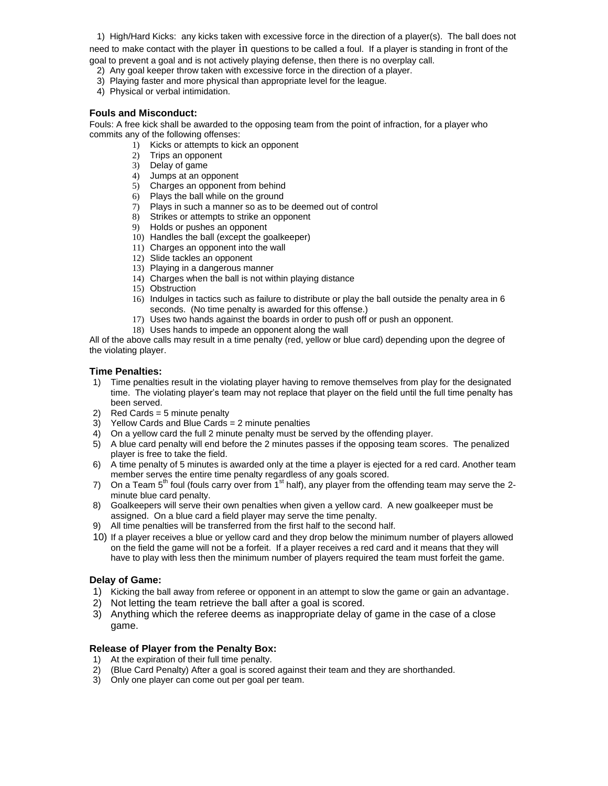1) High/Hard Kicks: any kicks taken with excessive force in the direction of a player(s). The ball does not need to make contact with the player in questions to be called a foul. If a player is standing in front of the goal to prevent a goal and is not actively playing defense, then there is no overplay call.

- 2) Any goal keeper throw taken with excessive force in the direction of a player.
- 3) Playing faster and more physical than appropriate level for the league.
- 4) Physical or verbal intimidation.

### **Fouls and Misconduct:**

Fouls: A free kick shall be awarded to the opposing team from the point of infraction, for a player who commits any of the following offenses:

- 1) Kicks or attempts to kick an opponent
- 2) Trips an opponent
- 3) Delay of game
- 4) Jumps at an opponent
- 5) Charges an opponent from behind
- 6) Plays the ball while on the ground
- 7) Plays in such a manner so as to be deemed out of control
- 8) Strikes or attempts to strike an opponent
- 9) Holds or pushes an opponent
- 10) Handles the ball (except the goalkeeper)
- 11) Charges an opponent into the wall
- 12) Slide tackles an opponent
- 13) Playing in a dangerous manner
- 14) Charges when the ball is not within playing distance
- 15) Obstruction
- 16) Indulges in tactics such as failure to distribute or play the ball outside the penalty area in 6 seconds. (No time penalty is awarded for this offense.)
- 17) Uses two hands against the boards in order to push off or push an opponent.
- 18) Uses hands to impede an opponent along the wall

All of the above calls may result in a time penalty (red, yellow or blue card) depending upon the degree of the violating player.

# **Time Penalties:**

- 1) Time penalties result in the violating player having to remove themselves from play for the designated time. The violating player's team may not replace that player on the field until the full time penalty has been served.
- 2) Red Cards = 5 minute penalty
- 3) Yellow Cards and Blue Cards = 2 minute penalties
- 4) On a yellow card the full 2 minute penalty must be served by the offending player.
- 5) A blue card penalty will end before the 2 minutes passes if the opposing team scores. The penalized player is free to take the field.
- 6) A time penalty of 5 minutes is awarded only at the time a player is ejected for a red card. Another team member serves the entire time penalty regardless of any goals scored.
- 7) On a Team  $5<sup>th</sup>$  foul (fouls carry over from  $1<sup>st</sup>$  half), any player from the offending team may serve the 2minute blue card penalty.
- 8) Goalkeepers will serve their own penalties when given a yellow card. A new goalkeeper must be assigned. On a blue card a field player may serve the time penalty.
- 9) All time penalties will be transferred from the first half to the second half.
- 10) If a player receives a blue or yellow card and they drop below the minimum number of players allowed on the field the game will not be a forfeit. If a player receives a red card and it means that they will have to play with less then the minimum number of players required the team must forfeit the game.

# **Delay of Game:**

- 1) Kicking the ball away from referee or opponent in an attempt to slow the game or gain an advantage.
- 2) Not letting the team retrieve the ball after a goal is scored.
- 3) Anything which the referee deems as inappropriate delay of game in the case of a close game.

# **Release of Player from the Penalty Box:**

- 1) At the expiration of their full time penalty.
- 2) (Blue Card Penalty) After a goal is scored against their team and they are shorthanded.
- 3) Only one player can come out per goal per team.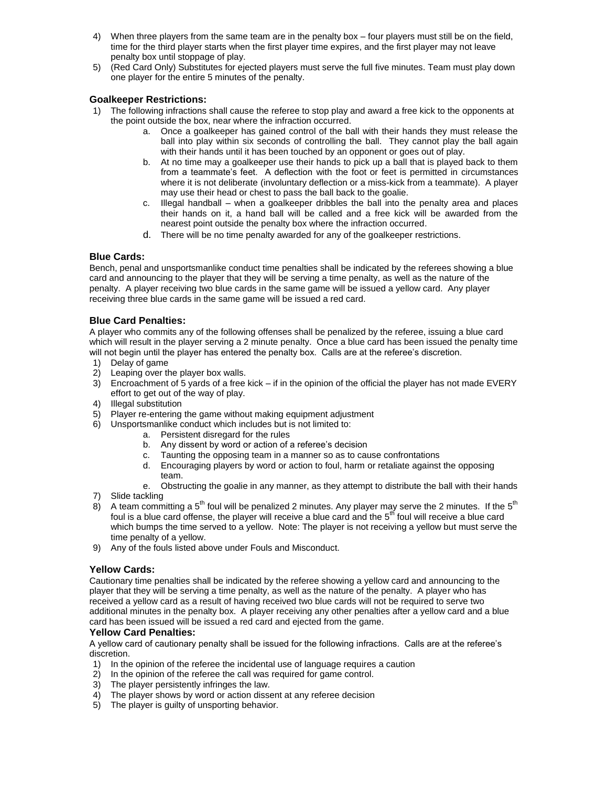- 4) When three players from the same team are in the penalty box four players must still be on the field, time for the third player starts when the first player time expires, and the first player may not leave penalty box until stoppage of play.
- 5) (Red Card Only) Substitutes for ejected players must serve the full five minutes. Team must play down one player for the entire 5 minutes of the penalty.

### **Goalkeeper Restrictions:**

- 1) The following infractions shall cause the referee to stop play and award a free kick to the opponents at the point outside the box, near where the infraction occurred.
	- a. Once a goalkeeper has gained control of the ball with their hands they must release the ball into play within six seconds of controlling the ball. They cannot play the ball again with their hands until it has been touched by an opponent or goes out of play.
	- b. At no time may a goalkeeper use their hands to pick up a ball that is played back to them from a teammate's feet. A deflection with the foot or feet is permitted in circumstances where it is not deliberate (involuntary deflection or a miss-kick from a teammate). A player may use their head or chest to pass the ball back to the goalie.
	- c. Illegal handball when a goalkeeper dribbles the ball into the penalty area and places their hands on it, a hand ball will be called and a free kick will be awarded from the nearest point outside the penalty box where the infraction occurred.
	- d. There will be no time penalty awarded for any of the goalkeeper restrictions.

### **Blue Cards:**

Bench, penal and unsportsmanlike conduct time penalties shall be indicated by the referees showing a blue card and announcing to the player that they will be serving a time penalty, as well as the nature of the penalty. A player receiving two blue cards in the same game will be issued a yellow card. Any player receiving three blue cards in the same game will be issued a red card.

### **Blue Card Penalties:**

A player who commits any of the following offenses shall be penalized by the referee, issuing a blue card which will result in the player serving a 2 minute penalty. Once a blue card has been issued the penalty time will not begin until the player has entered the penalty box. Calls are at the referee's discretion.

- 1) Delay of game
- 2) Leaping over the player box walls.
- 3) Encroachment of 5 yards of a free kick if in the opinion of the official the player has not made EVERY effort to get out of the way of play.
- 4) Illegal substitution
- 5) Player re-entering the game without making equipment adjustment
- 6) Unsportsmanlike conduct which includes but is not limited to:
	- a. Persistent disregard for the rules
	- b. Any dissent by word or action of a referee's decision
	-
	- c. Taunting the opposing team in a manner so as to cause confrontations d. Encouraging players by word or action to foul, harm or retaliate against Encouraging players by word or action to foul, harm or retaliate against the opposing team.
	- e. Obstructing the goalie in any manner, as they attempt to distribute the ball with their hands
- 7) Slide tackling
- 8) A team committing a 5<sup>th</sup> foul will be penalized 2 minutes. Any player may serve the 2 minutes. If the 5<sup>th</sup> foul is a blue card offense, the player will receive a blue card and the  $5<sup>th</sup>$  foul will receive a blue card which bumps the time served to a yellow. Note: The player is not receiving a yellow but must serve the time penalty of a yellow.
- 9) Any of the fouls listed above under Fouls and Misconduct.

# **Yellow Cards:**

Cautionary time penalties shall be indicated by the referee showing a yellow card and announcing to the player that they will be serving a time penalty, as well as the nature of the penalty. A player who has received a yellow card as a result of having received two blue cards will not be required to serve two additional minutes in the penalty box. A player receiving any other penalties after a yellow card and a blue card has been issued will be issued a red card and ejected from the game.

#### **Yellow Card Penalties:**

A yellow card of cautionary penalty shall be issued for the following infractions. Calls are at the referee's discretion.

- 1) In the opinion of the referee the incidental use of language requires a caution
- 2) In the opinion of the referee the call was required for game control.
- 3) The player persistently infringes the law.
- 4) The player shows by word or action dissent at any referee decision
- 5) The player is guilty of unsporting behavior.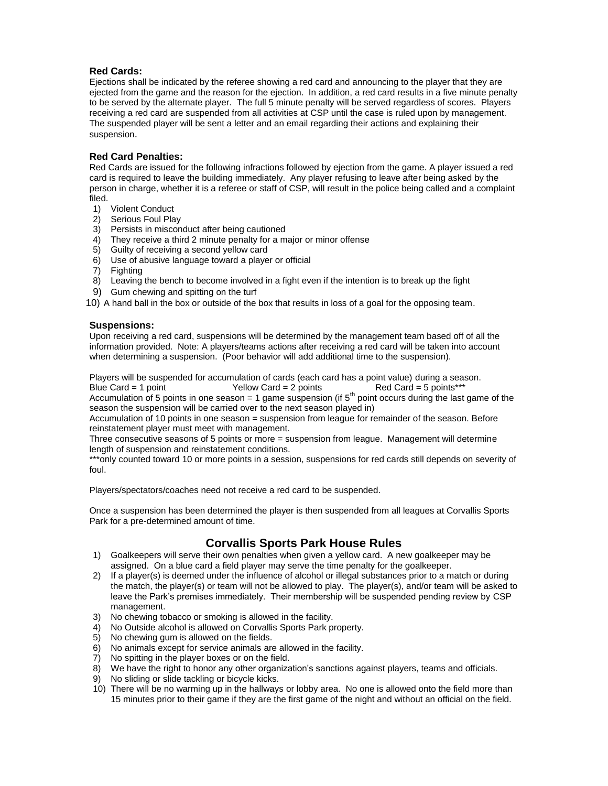# **Red Cards:**

Ejections shall be indicated by the referee showing a red card and announcing to the player that they are ejected from the game and the reason for the ejection. In addition, a red card results in a five minute penalty to be served by the alternate player. The full 5 minute penalty will be served regardless of scores. Players receiving a red card are suspended from all activities at CSP until the case is ruled upon by management. The suspended player will be sent a letter and an email regarding their actions and explaining their suspension.

# **Red Card Penalties:**

Red Cards are issued for the following infractions followed by ejection from the game. A player issued a red card is required to leave the building immediately. Any player refusing to leave after being asked by the person in charge, whether it is a referee or staff of CSP, will result in the police being called and a complaint filed.

- 1) Violent Conduct
- 2) Serious Foul Play
- 3) Persists in misconduct after being cautioned
- 4) They receive a third 2 minute penalty for a major or minor offense
- 5) Guilty of receiving a second yellow card
- 6) Use of abusive language toward a player or official
- 7) Fighting
- 8) Leaving the bench to become involved in a fight even if the intention is to break up the fight
- 9) Gum chewing and spitting on the turf
- 10) A hand ball in the box or outside of the box that results in loss of a goal for the opposing team.

# **Suspensions:**

Upon receiving a red card, suspensions will be determined by the management team based off of all the information provided. Note: A players/teams actions after receiving a red card will be taken into account when determining a suspension. (Poor behavior will add additional time to the suspension).

Players will be suspended for accumulation of cards (each card has a point value) during a season. Blue Card = 1 point Yellow Card = 2 points Red Card = 5 points\*\*\*

Accumulation of 5 points in one season = 1 game suspension (if  $5<sup>th</sup>$  point occurs during the last game of the season the suspension will be carried over to the next season played in)

Accumulation of 10 points in one season = suspension from league for remainder of the season. Before reinstatement player must meet with management.

Three consecutive seasons of 5 points or more = suspension from league. Management will determine length of suspension and reinstatement conditions.

\*\*\*only counted toward 10 or more points in a session, suspensions for red cards still depends on severity of foul.

Players/spectators/coaches need not receive a red card to be suspended.

Once a suspension has been determined the player is then suspended from all leagues at Corvallis Sports Park for a pre-determined amount of time.

# **Corvallis Sports Park House Rules**

- 1) Goalkeepers will serve their own penalties when given a yellow card. A new goalkeeper may be assigned. On a blue card a field player may serve the time penalty for the goalkeeper.
- 2) If a player(s) is deemed under the influence of alcohol or illegal substances prior to a match or during the match, the player(s) or team will not be allowed to play. The player(s), and/or team will be asked to leave the Park's premises immediately. Their membership will be suspended pending review by CSP management.
- 3) No chewing tobacco or smoking is allowed in the facility.
- 4) No Outside alcohol is allowed on Corvallis Sports Park property.
- 5) No chewing gum is allowed on the fields.
- 6) No animals except for service animals are allowed in the facility.
- 7) No spitting in the player boxes or on the field.
- 8) We have the right to honor any other organization's sanctions against players, teams and officials.
- 9) No sliding or slide tackling or bicycle kicks.
- 10) There will be no warming up in the hallways or lobby area. No one is allowed onto the field more than 15 minutes prior to their game if they are the first game of the night and without an official on the field.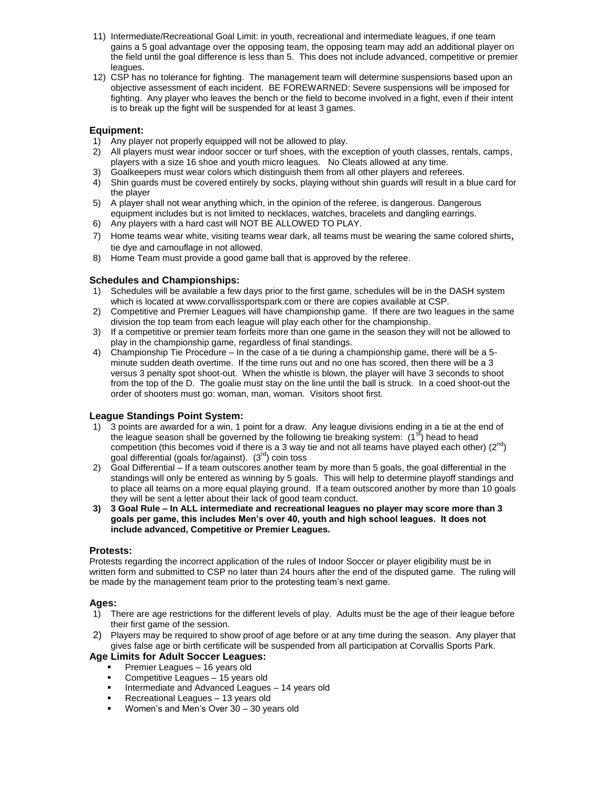- 11) Intermediate/Recreational Goal Limit: in youth, recreational and intermediate leagues, if one team gains a 5 goal advantage over the opposing team, the opposing team may add an additional player on the field until the goal difference is less than 5. This does not include advanced, competitive or premier leagues.
- 12) CSP has no tolerance for fighting. The management team will determine suspensions based upon an objective assessment of each incident. BE FOREWARNED: Severe suspensions will be imposed for fighting. Any player who leaves the bench or the field to become involved in a fight, even if their intent is to break up the fight will be suspended for at least 3 games.

# **Equipment:**

- 1) Any player not properly equipped will not be allowed to play.
- 2) All players must wear indoor soccer or turf shoes, with the exception of youth classes, rentals, camps, players with a size 16 shoe and youth micro leagues. No Cleats allowed at any time.
- 3) Goalkeepers must wear colors which distinguish them from all other players and referees.
- 4) Shin guards must be covered entirely by socks, playing without shin guards will result in a blue card for the player
- 5) A player shall not wear anything which, in the opinion of the referee, is dangerous. Dangerous equipment includes but is not limited to necklaces, watches, bracelets and dangling earrings.
- 6) Any players with a hard cast will NOT BE ALLOWED TO PLAY.
- 7) Home teams wear white, visiting teams wear dark, all teams must be wearing the same colored shirts, tie dye and camouflage in not allowed.
- 8) Home Team must provide a good game ball that is approved by the referee.

#### **Schedules and Championships:**

- 1) Schedules will be available a few days prior to the first game, schedules will be in the DASH system which is located at www.corvallissportspark.com or there are copies available at CSP.
- 2) Competitive and Premier Leagues will have championship game. If there are two leagues in the same division the top team from each league will play each other for the championship.
- 3) If a competitive or premier team forfeits more than one game in the season they will not be allowed to play in the championship game, regardless of final standings.
- 4) Championship Tie Procedure In the case of a tie during a championship game, there will be a 5 minute sudden death overtime. If the time runs out and no one has scored, then there will be a 3 versus 3 penalty spot shoot-out. When the whistle is blown, the player will have 3 seconds to shoot from the top of the D. The goalie must stay on the line until the ball is struck. In a coed shoot-out the order of shooters must go: woman, man, woman. Visitors shoot first.

# **League Standings Point System:**

- 1) 3 points are awarded for a win, 1 point for a draw. Any league divisions ending in a tie at the end of the league season shall be governed by the following tie breaking system:  $(1<sup>st</sup>)$  head to head competition (this becomes void if there is a 3 way tie and not all teams have played each other)  $(2^{nd})$ goal differential (goals for/against).  $(3<sup>rd</sup>)$  coin toss
- 2) Goal Differential If a team outscores another team by more than 5 goals, the goal differential in the standings will only be entered as winning by 5 goals. This will help to determine playoff standings and to place all teams on a more equal playing ground. If a team outscored another by more than 10 goals they will be sent a letter about their lack of good team conduct.
- **3) 3 Goal Rule – In ALL intermediate and recreational leagues no player may score more than 3 goals per game, this includes Men's over 40, youth and high school leagues. It does not include advanced, Competitive or Premier Leagues.**

#### **Protests:**

Protests regarding the incorrect application of the rules of Indoor Soccer or player eligibility must be in written form and submitted to CSP no later than 24 hours after the end of the disputed game. The ruling will be made by the management team prior to the protesting team's next game.

#### **Ages:**

- 1) There are age restrictions for the different levels of play. Adults must be the age of their league before their first game of the session.
- 2) Players may be required to show proof of age before or at any time during the season. Any player that gives false age or birth certificate will be suspended from all participation at Corvallis Sports Park.

# **Age Limits for Adult Soccer Leagues:**

- Premier Leagues 16 years old
- Competitive Leagues 15 years old
- Intermediate and Advanced Leagues 14 years old
- Recreational Leagues 13 years old
- **Women's and Men's Over 30 30 years old**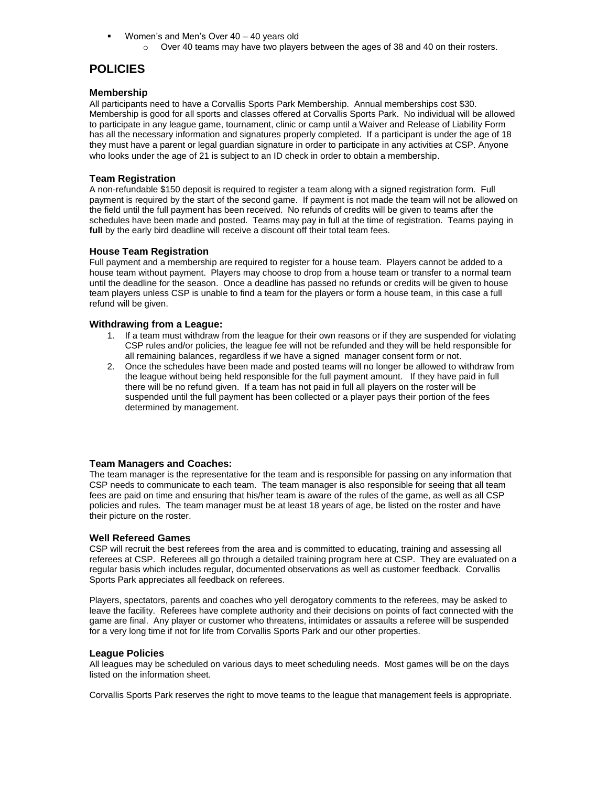- **Women's and Men's Over 40 40 years old** 
	- $\circ$  Over 40 teams may have two players between the ages of 38 and 40 on their rosters.

# **POLICIES**

### **Membership**

All participants need to have a Corvallis Sports Park Membership. Annual memberships cost \$30. Membership is good for all sports and classes offered at Corvallis Sports Park. No individual will be allowed to participate in any league game, tournament, clinic or camp until a Waiver and Release of Liability Form has all the necessary information and signatures properly completed. If a participant is under the age of 18 they must have a parent or legal guardian signature in order to participate in any activities at CSP. Anyone who looks under the age of 21 is subject to an ID check in order to obtain a membership.

### **Team Registration**

A non-refundable \$150 deposit is required to register a team along with a signed registration form. Full payment is required by the start of the second game. If payment is not made the team will not be allowed on the field until the full payment has been received. No refunds of credits will be given to teams after the schedules have been made and posted. Teams may pay in full at the time of registration. Teams paying in **full** by the early bird deadline will receive a discount off their total team fees.

#### **House Team Registration**

Full payment and a membership are required to register for a house team. Players cannot be added to a house team without payment. Players may choose to drop from a house team or transfer to a normal team until the deadline for the season. Once a deadline has passed no refunds or credits will be given to house team players unless CSP is unable to find a team for the players or form a house team, in this case a full refund will be given.

#### **Withdrawing from a League:**

- 1. If a team must withdraw from the league for their own reasons or if they are suspended for violating CSP rules and/or policies, the league fee will not be refunded and they will be held responsible for all remaining balances, regardless if we have a signed manager consent form or not.
- 2. Once the schedules have been made and posted teams will no longer be allowed to withdraw from the league without being held responsible for the full payment amount. If they have paid in full there will be no refund given. If a team has not paid in full all players on the roster will be suspended until the full payment has been collected or a player pays their portion of the fees determined by management.

#### **Team Managers and Coaches:**

The team manager is the representative for the team and is responsible for passing on any information that CSP needs to communicate to each team. The team manager is also responsible for seeing that all team fees are paid on time and ensuring that his/her team is aware of the rules of the game, as well as all CSP policies and rules. The team manager must be at least 18 years of age, be listed on the roster and have their picture on the roster.

#### **Well Refereed Games**

CSP will recruit the best referees from the area and is committed to educating, training and assessing all referees at CSP. Referees all go through a detailed training program here at CSP. They are evaluated on a regular basis which includes regular, documented observations as well as customer feedback. Corvallis Sports Park appreciates all feedback on referees.

Players, spectators, parents and coaches who yell derogatory comments to the referees, may be asked to leave the facility. Referees have complete authority and their decisions on points of fact connected with the game are final. Any player or customer who threatens, intimidates or assaults a referee will be suspended for a very long time if not for life from Corvallis Sports Park and our other properties.

#### **League Policies**

All leagues may be scheduled on various days to meet scheduling needs. Most games will be on the days listed on the information sheet.

Corvallis Sports Park reserves the right to move teams to the league that management feels is appropriate.